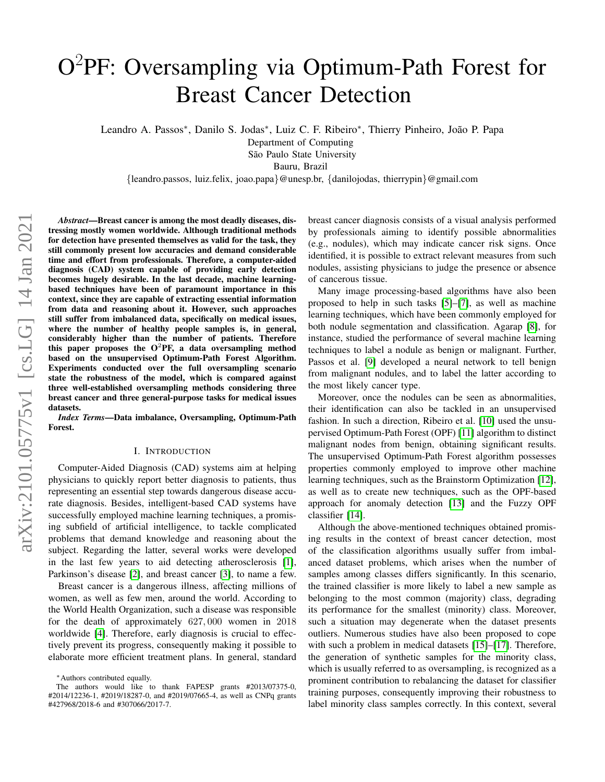# O<sup>2</sup>PF: Oversampling via Optimum-Path Forest for Breast Cancer Detection

Leandro A. Passos<sup>∗</sup>, Danilo S. Jodas<sup>∗</sup>, Luiz C. F. Ribeiro<sup>∗</sup>, Thierry Pinheiro, João P. Papa

Department of Computing

São Paulo State University

Bauru, Brazil

{leandro.passos, luiz.felix, joao.papa}@unesp.br, {danilojodas, thierrypin}@gmail.com

*Abstract*—Breast cancer is among the most deadly diseases, distressing mostly women worldwide. Although traditional methods for detection have presented themselves as valid for the task, they still commonly present low accuracies and demand considerable time and effort from professionals. Therefore, a computer-aided diagnosis (CAD) system capable of providing early detection becomes hugely desirable. In the last decade, machine learningbased techniques have been of paramount importance in this context, since they are capable of extracting essential information from data and reasoning about it. However, such approaches still suffer from imbalanced data, specifically on medical issues, where the number of healthy people samples is, in general, considerably higher than the number of patients. Therefore this paper proposes the  $O^2$ PF, a data oversampling method based on the unsupervised Optimum-Path Forest Algorithm. Experiments conducted over the full oversampling scenario state the robustness of the model, which is compared against three well-established oversampling methods considering three breast cancer and three general-purpose tasks for medical issues datasets.

*Index Terms*—Data imbalance, Oversampling, Optimum-Path Forest.

## I. INTRODUCTION

Computer-Aided Diagnosis (CAD) systems aim at helping physicians to quickly report better diagnosis to patients, thus representing an essential step towards dangerous disease accurate diagnosis. Besides, intelligent-based CAD systems have successfully employed machine learning techniques, a promising subfield of artificial intelligence, to tackle complicated problems that demand knowledge and reasoning about the subject. Regarding the latter, several works were developed in the last few years to aid detecting atherosclerosis [\[1\]](#page-5-0), Parkinson's disease [\[2\]](#page-5-1), and breast cancer [\[3\]](#page-5-2), to name a few.

Breast cancer is a dangerous illness, affecting millions of women, as well as few men, around the world. According to the World Health Organization, such a disease was responsible for the death of approximately 627, 000 women in 2018 worldwide [\[4\]](#page-5-3). Therefore, early diagnosis is crucial to effectively prevent its progress, consequently making it possible to elaborate more efficient treatment plans. In general, standard breast cancer diagnosis consists of a visual analysis performed by professionals aiming to identify possible abnormalities (e.g., nodules), which may indicate cancer risk signs. Once identified, it is possible to extract relevant measures from such nodules, assisting physicians to judge the presence or absence of cancerous tissue.

Many image processing-based algorithms have also been proposed to help in such tasks [\[5\]](#page-5-4)–[\[7\]](#page-5-5), as well as machine learning techniques, which have been commonly employed for both nodule segmentation and classification. Agarap [\[8\]](#page-5-6), for instance, studied the performance of several machine learning techniques to label a nodule as benign or malignant. Further, Passos et al. [\[9\]](#page-5-7) developed a neural network to tell benign from malignant nodules, and to label the latter according to the most likely cancer type.

Moreover, once the nodules can be seen as abnormalities, their identification can also be tackled in an unsupervised fashion. In such a direction, Ribeiro et al. [\[10\]](#page-5-8) used the unsupervised Optimum-Path Forest (OPF) [\[11\]](#page-5-9) algorithm to distinct malignant nodes from benign, obtaining significant results. The unsupervised Optimum-Path Forest algorithm possesses properties commonly employed to improve other machine learning techniques, such as the Brainstorm Optimization [\[12\]](#page-5-10), as well as to create new techniques, such as the OPF-based approach for anomaly detection [\[13\]](#page-5-11) and the Fuzzy OPF classifier [\[14\]](#page-5-12).

Although the above-mentioned techniques obtained promising results in the context of breast cancer detection, most of the classification algorithms usually suffer from imbalanced dataset problems, which arises when the number of samples among classes differs significantly. In this scenario, the trained classifier is more likely to label a new sample as belonging to the most common (majority) class, degrading its performance for the smallest (minority) class. Moreover, such a situation may degenerate when the dataset presents outliers. Numerous studies have also been proposed to cope with such a problem in medical datasets [\[15\]](#page-5-13)–[\[17\]](#page-5-14). Therefore, the generation of synthetic samples for the minority class, which is usually referred to as oversampling, is recognized as a prominent contribution to rebalancing the dataset for classifier training purposes, consequently improving their robustness to label minority class samples correctly. In this context, several

<sup>∗</sup>Authors contributed equally.

The authors would like to thank FAPESP grants #2013/07375-0, #2014/12236-1, #2019/18287-0, and #2019/07665-4, as well as CNPq grants #427968/2018-6 and #307066/2017-7.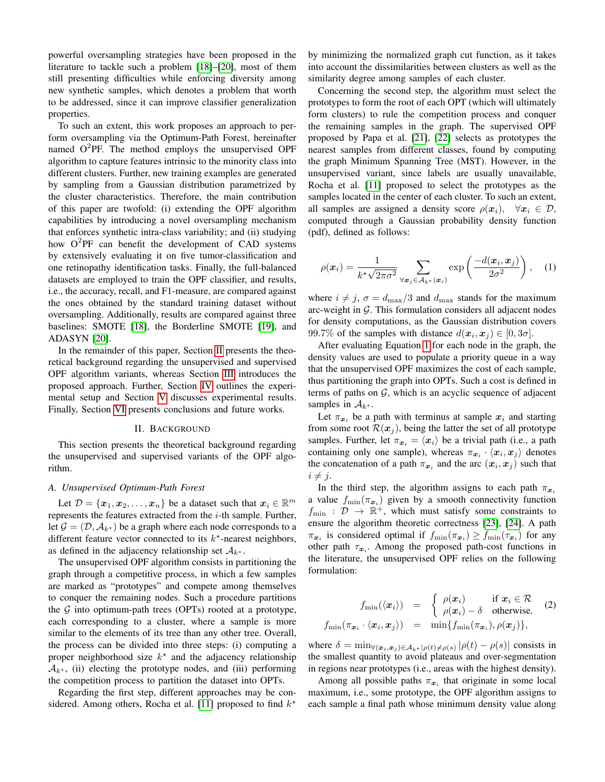powerful oversampling strategies have been proposed in the literature to tackle such a problem [\[18\]](#page-5-15)–[\[20\]](#page-5-16), most of them still presenting difficulties while enforcing diversity among new synthetic samples, which denotes a problem that worth to be addressed, since it can improve classifier generalization properties.

To such an extent, this work proposes an approach to perform oversampling via the Optimum-Path Forest, hereinafter named  $O^2$ PF. The method employs the unsupervised OPF algorithm to capture features intrinsic to the minority class into different clusters. Further, new training examples are generated by sampling from a Gaussian distribution parametrized by the cluster characteristics. Therefore, the main contribution of this paper are twofold: (i) extending the OPF algorithm capabilities by introducing a novel oversampling mechanism that enforces synthetic intra-class variability; and (ii) studying how  $O^2$ PF can benefit the development of CAD systems by extensively evaluating it on five tumor-classification and one retinopathy identification tasks. Finally, the full-balanced datasets are employed to train the OPF classifier, and results, i.e., the accuracy, recall, and F1-measure, are compared against the ones obtained by the standard training dataset without oversampling. Additionally, results are compared against three baselines: SMOTE [\[18\]](#page-5-15), the Borderline SMOTE [\[19\]](#page-5-17), and ADASYN [\[20\]](#page-5-16).

In the remainder of this paper, Section [II](#page-1-0) presents the theoretical background regarding the unsupervised and supervised OPF algorithm variants, whereas Section [III](#page-2-0) introduces the proposed approach. Further, Section [IV](#page-2-1) outlines the experimental setup and Section [V](#page-3-0) discusses experimental results. Finally, Section [VI](#page-4-0) presents conclusions and future works.

## II. BACKGROUND

<span id="page-1-0"></span>This section presents the theoretical background regarding the unsupervised and supervised variants of the OPF algorithm.

## *A. Unsupervised Optimum-Path Forest*

Let  $\mathcal{D} = \{x_1, x_2, \dots, x_n\}$  be a dataset such that  $x_i \in \mathbb{R}^m$ represents the features extracted from the  $i$ -th sample. Further, let  $\mathcal{G} = (\mathcal{D}, \mathcal{A}_{k^*})$  be a graph where each node corresponds to a different feature vector connected to its  $k^*$ -nearest neighbors, as defined in the adjacency relationship set  $A_{k^*}$ .

The unsupervised OPF algorithm consists in partitioning the graph through a competitive process, in which a few samples are marked as "prototypes" and compete among themselves to conquer the remaining nodes. Such a procedure partitions the  $G$  into optimum-path trees (OPTs) rooted at a prototype, each corresponding to a cluster, where a sample is more similar to the elements of its tree than any other tree. Overall, the process can be divided into three steps: (i) computing a proper neighborhood size  $k^*$  and the adjacency relationship  $\mathcal{A}_{k^*}$ , (ii) electing the prototype nodes, and (iii) performing the competition process to partition the dataset into OPTs.

Regarding the first step, different approaches may be con-sidered. Among others, Rocha et al. [\[11\]](#page-5-9) proposed to find  $k^*$ 

by minimizing the normalized graph cut function, as it takes into account the dissimilarities between clusters as well as the similarity degree among samples of each cluster.

Concerning the second step, the algorithm must select the prototypes to form the root of each OPT (which will ultimately form clusters) to rule the competition process and conquer the remaining samples in the graph. The supervised OPF proposed by Papa et al. [\[21\]](#page-5-18), [\[22\]](#page-5-19) selects as prototypes the nearest samples from different classes, found by computing the graph Minimum Spanning Tree (MST). However, in the unsupervised variant, since labels are usually unavailable, Rocha et al. [\[11\]](#page-5-9) proposed to select the prototypes as the samples located in the center of each cluster. To such an extent, all samples are assigned a density score  $\rho(x_i)$ ,  $\forall x_i \in \mathcal{D}$ , computed through a Gaussian probability density function (pdf), defined as follows:

<span id="page-1-1"></span>
$$
\rho(\boldsymbol{x}_i) = \frac{1}{k^{\star}\sqrt{2\pi\sigma^2}} \sum_{\forall \boldsymbol{x}_j \in \mathcal{A}_{k^{\star}}(\boldsymbol{x}_i)} \exp\left(\frac{-d(\boldsymbol{x}_i, \boldsymbol{x}_j)}{2\sigma^2}\right), \quad (1)
$$

where  $i \neq j$ ,  $\sigma = d_{\text{max}}/3$  and  $d_{\text{max}}$  stands for the maximum arc-weight in  $G$ . This formulation considers all adjacent nodes for density computations, as the Gaussian distribution covers 99.7% of the samples with distance  $d(\mathbf{x}_i, \mathbf{x}_j) \in [0, 3\sigma]$ .

After evaluating Equation [1](#page-1-1) for each node in the graph, the density values are used to populate a priority queue in a way that the unsupervised OPF maximizes the cost of each sample, thus partitioning the graph into OPTs. Such a cost is defined in terms of paths on  $G$ , which is an acyclic sequence of adjacent samples in  $A_{k^*}$ .

Let  $\pi_{x_i}$  be a path with terminus at sample  $x_i$  and starting from some root  $\mathcal{R}(x_j)$ , being the latter the set of all prototype samples. Further, let  $\pi_{x_i} = \langle x_i \rangle$  be a trivial path (i.e., a path containing only one sample), whereas  $\pi_{\bm{x}_i} \cdot \langle \bm{x}_i, \bm{x}_j \rangle$  denotes the concatenation of a path  $\pi_{x_i}$  and the arc  $(x_i, x_j)$  such that  $i \neq j$ .

In the third step, the algorithm assigns to each path  $\pi_{x_i}$ a value  $f_{\min}(\pi_{x_i})$  given by a smooth connectivity function  $f_{\min}$ :  $\mathcal{D} \rightarrow \mathbb{R}^+$ , which must satisfy some constraints to ensure the algorithm theoretic correctness [\[23\]](#page-5-20), [\[24\]](#page-5-21). A path  $\pi_{x_i}$  is considered optimal if  $f_{\min}(\pi_{x_i}) \ge f_{\min}(\tau_{x_i})$  for any other path  $\tau_{x_i}$ . Among the proposed path-cost functions in the literature, the unsupervised OPF relies on the following formulation:

<span id="page-1-2"></span>
$$
f_{\min}(\langle \boldsymbol{x}_i \rangle) = \begin{cases} \rho(\boldsymbol{x}_i) & \text{if } \boldsymbol{x}_i \in \mathcal{R} \\ \rho(\boldsymbol{x}_i) - \delta & \text{otherwise.} \end{cases}
$$
 (2)  

$$
f_{\min}(\pi_{\boldsymbol{x}_i} \cdot \langle \boldsymbol{x}_i, \boldsymbol{x}_j \rangle) = \min\{f_{\min}(\pi_{\boldsymbol{x}_i}), \rho(\boldsymbol{x}_j)\},
$$

where  $\delta = \min_{\forall (\bm{x}_i, \bm{x}_j) \in A_{k^*} | \rho(t) \neq \rho(s)} |\rho(t) - \rho(s)|$  consists in the smallest quantity to avoid plateaus and over-segmentation in regions near prototypes (i.e., areas with the highest density).

Among all possible paths  $\pi_{x_i}$  that originate in some local maximum, i.e., some prototype, the OPF algorithm assigns to each sample a final path whose minimum density value along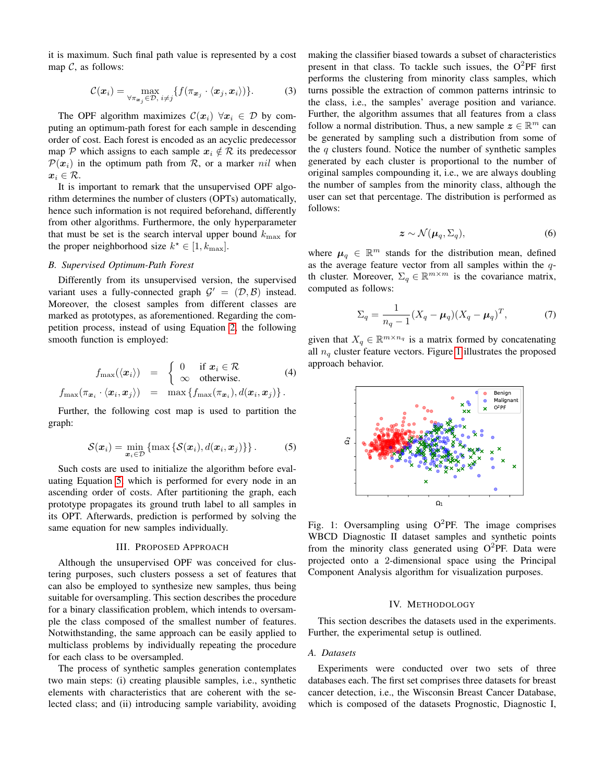it is maximum. Such final path value is represented by a cost map  $C$ , as follows:

$$
\mathcal{C}(\boldsymbol{x}_i) = \max_{\forall \pi_{\boldsymbol{x}_j} \in \mathcal{D}, \ i \neq j} \{ f(\pi_{\boldsymbol{x}_j} \cdot \langle \boldsymbol{x}_j, \boldsymbol{x}_i \rangle) \}.
$$
 (3)

The OPF algorithm maximizes  $\mathcal{C}(x_i)$   $\forall x_i \in \mathcal{D}$  by computing an optimum-path forest for each sample in descending order of cost. Each forest is encoded as an acyclic predecessor map P which assigns to each sample  $x_i \notin \mathcal{R}$  its predecessor  $\mathcal{P}(x_i)$  in the optimum path from R, or a marker nil when  $x_i \in \mathcal{R}$ .

It is important to remark that the unsupervised OPF algorithm determines the number of clusters (OPTs) automatically, hence such information is not required beforehand, differently from other algorithms. Furthermore, the only hyperparameter that must be set is the search interval upper bound  $k_{\text{max}}$  for the proper neighborhood size  $k^* \in [1, k_{\text{max}}]$ .

## *B. Supervised Optimum-Path Forest*

Differently from its unsupervised version, the supervised variant uses a fully-connected graph  $\mathcal{G}' = (\mathcal{D}, \mathcal{B})$  instead. Moreover, the closest samples from different classes are marked as prototypes, as aforementioned. Regarding the competition process, instead of using Equation [2,](#page-1-2) the following smooth function is employed:

$$
f_{\max}(\langle x_i \rangle) = \begin{cases} 0 & \text{if } x_i \in \mathcal{R} \\ \infty & \text{otherwise.} \end{cases}
$$
(4)  

$$
f_{\max}(\pi_{x_i} \cdot \langle x_i, x_j \rangle) = \max \{ f_{\max}(\pi_{x_i}), d(x_i, x_j) \}.
$$

Further, the following cost map is used to partition the graph:

<span id="page-2-2"></span>
$$
\mathcal{S}(\boldsymbol{x}_i) = \min_{\boldsymbol{x}_i \in \mathcal{D}} \left\{ \max \left\{ \mathcal{S}(\boldsymbol{x}_i), d(\boldsymbol{x}_i, \boldsymbol{x}_j) \right\} \right\}. \tag{5}
$$

Such costs are used to initialize the algorithm before evaluating Equation [5,](#page-2-2) which is performed for every node in an ascending order of costs. After partitioning the graph, each prototype propagates its ground truth label to all samples in its OPT. Afterwards, prediction is performed by solving the same equation for new samples individually.

## III. PROPOSED APPROACH

<span id="page-2-0"></span>Although the unsupervised OPF was conceived for clustering purposes, such clusters possess a set of features that can also be employed to synthesize new samples, thus being suitable for oversampling. This section describes the procedure for a binary classification problem, which intends to oversample the class composed of the smallest number of features. Notwithstanding, the same approach can be easily applied to multiclass problems by individually repeating the procedure for each class to be oversampled.

The process of synthetic samples generation contemplates two main steps: (i) creating plausible samples, i.e., synthetic elements with characteristics that are coherent with the selected class; and (ii) introducing sample variability, avoiding making the classifier biased towards a subset of characteristics present in that class. To tackle such issues, the  $O^2$ PF first performs the clustering from minority class samples, which turns possible the extraction of common patterns intrinsic to the class, i.e., the samples' average position and variance. Further, the algorithm assumes that all features from a class follow a normal distribution. Thus, a new sample  $z \in \mathbb{R}^m$  can be generated by sampling such a distribution from some of the  $q$  clusters found. Notice the number of synthetic samples generated by each cluster is proportional to the number of original samples compounding it, i.e., we are always doubling the number of samples from the minority class, although the user can set that percentage. The distribution is performed as follows:

$$
z \sim \mathcal{N}(\mu_q, \Sigma_q), \tag{6}
$$

where  $\mu_q \in \mathbb{R}^m$  stands for the distribution mean, defined as the average feature vector from all samples within the qth cluster. Moreover,  $\Sigma_q \in \mathbb{R}^{m \times m}$  is the covariance matrix, computed as follows:

$$
\Sigma_q = \frac{1}{n_q - 1} (X_q - \mu_q) (X_q - \mu_q)^T, \tag{7}
$$

given that  $X_q \in \mathbb{R}^{m \times n_q}$  is a matrix formed by concatenating all  $n_q$  cluster feature vectors. Figure [1](#page-2-3) illustrates the proposed approach behavior.

<span id="page-2-3"></span>

Fig. 1: Oversampling using  $O^2$ PF. The image comprises WBCD Diagnostic II dataset samples and synthetic points from the minority class generated using  $O^2$ PF. Data were projected onto a 2-dimensional space using the Principal Component Analysis algorithm for visualization purposes.

#### IV. METHODOLOGY

<span id="page-2-1"></span>This section describes the datasets used in the experiments. Further, the experimental setup is outlined.

## *A. Datasets*

Experiments were conducted over two sets of three databases each. The first set comprises three datasets for breast cancer detection, i.e., the Wisconsin Breast Cancer Database, which is composed of the datasets Prognostic, Diagnostic I,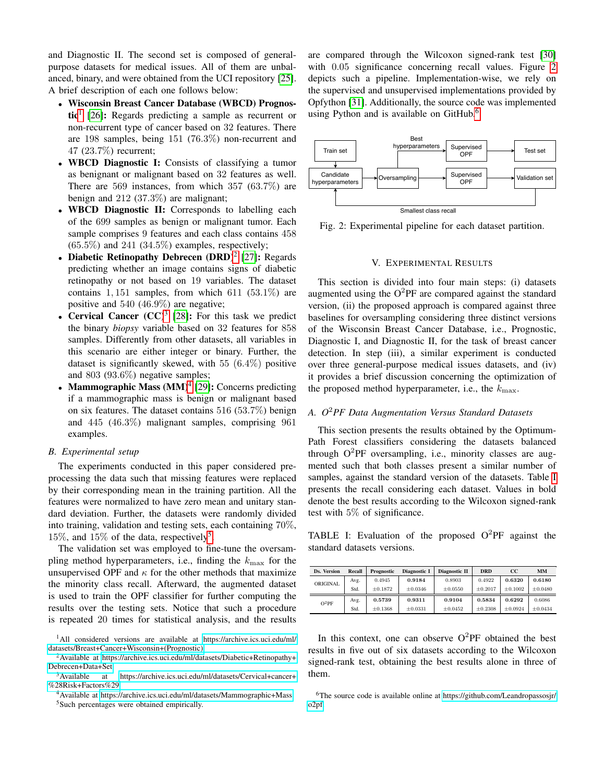and Diagnostic II. The second set is composed of generalpurpose datasets for medical issues. All of them are unbalanced, binary, and were obtained from the UCI repository [\[25\]](#page-5-22). A brief description of each one follows below:

- Wisconsin Breast Cancer Database (WBCD) Prognos-tic<sup>[1](#page-3-1)</sup> [\[26\]](#page-5-23): Regards predicting a sample as recurrent or non-recurrent type of cancer based on 32 features. There are 198 samples, being 151 (76.3%) non-recurrent and 47 (23.7%) recurrent;
- WBCD Diagnostic I: Consists of classifying a tumor as benignant or malignant based on 32 features as well. There are 569 instances, from which 357 (63.7%) are benign and 212 (37.3%) are malignant;
- WBCD Diagnostic II: Corresponds to labelling each of the 699 samples as benign or malignant tumor. Each sample comprises 9 features and each class contains 458  $(65.5\%)$  and  $241$   $(34.5\%)$  examples, respectively;
- Diabetic Retinopathy Debrecen  $(DRD)^2$  $(DRD)^2$  [\[27\]](#page-5-24): Regards predicting whether an image contains signs of diabetic retinopathy or not based on 19 variables. The dataset contains  $1, 151$  samples, from which  $611$   $(53.1\%)$  are positive and 540 (46.9%) are negative;
- Cervical Cancer  $(CC)^3$  $(CC)^3$  [\[28\]](#page-5-25): For this task we predict the binary *biopsy* variable based on 32 features for 858 samples. Differently from other datasets, all variables in this scenario are either integer or binary. Further, the dataset is significantly skewed, with  $55$   $(6.4\%)$  positive and 803 (93.6%) negative samples;
- Mammographic Mass  $(MM)^4$  $(MM)^4$  [\[29\]](#page-5-26): Concerns predicting if a mammographic mass is benign or malignant based on six features. The dataset contains 516 (53.7%) benign and 445 (46.3%) malignant samples, comprising 961 examples.

## *B. Experimental setup*

The experiments conducted in this paper considered preprocessing the data such that missing features were replaced by their corresponding mean in the training partition. All the features were normalized to have zero mean and unitary standard deviation. Further, the datasets were randomly divided into training, validation and testing sets, each containing 70%, 1[5](#page-3-5)%, and 15% of the data, respectively<sup>5</sup>.

The validation set was employed to fine-tune the oversampling method hyperparameters, i.e., finding the  $k_{\text{max}}$  for the unsupervised OPF and  $\kappa$  for the other methods that maximize the minority class recall. Afterward, the augmented dataset is used to train the OPF classifier for further computing the results over the testing sets. Notice that such a procedure is repeated 20 times for statistical analysis, and the results are compared through the Wilcoxon signed-rank test [\[30\]](#page-5-27) with  $0.05$  significance concerning recall values. Figure [2](#page-3-6) depicts such a pipeline. Implementation-wise, we rely on the supervised and unsupervised implementations provided by Opfython [\[31\]](#page-5-28). Additionally, the source code was implemented using Python and is available on GitHub.<sup>[6](#page-3-7)</sup>

<span id="page-3-6"></span>

Fig. 2: Experimental pipeline for each dataset partition.

#### V. EXPERIMENTAL RESULTS

<span id="page-3-0"></span>This section is divided into four main steps: (i) datasets augmented using the  $O^2$ PF are compared against the standard version, (ii) the proposed approach is compared against three baselines for oversampling considering three distinct versions of the Wisconsin Breast Cancer Database, i.e., Prognostic, Diagnostic I, and Diagnostic II, for the task of breast cancer detection. In step (iii), a similar experiment is conducted over three general-purpose medical issues datasets, and (iv) it provides a brief discussion concerning the optimization of the proposed method hyperparameter, i.e., the  $k_{\text{max}}$ .

## *A. O*2*PF Data Augmentation Versus Standard Datasets*

This section presents the results obtained by the Optimum-Path Forest classifiers considering the datasets balanced through  $O^2$ PF oversampling, i.e., minority classes are augmented such that both classes present a similar number of samples, against the standard version of the datasets. Table [I](#page-3-8) presents the recall considering each dataset. Values in bold denote the best results according to the Wilcoxon signed-rank test with 5% of significance.

<span id="page-3-8"></span>TABLE I: Evaluation of the proposed  $O^2$ PF against the standard datasets versions.

| Ds. Version | Recall | Prognostic   | Diagnostic I | Diagnostic II | <b>DRD</b>   | $_{\rm cc}$ | <b>MM</b>    |
|-------------|--------|--------------|--------------|---------------|--------------|-------------|--------------|
| ORIGINAL    | Avg.   | 0.4945       | 0.9184       | 0.8903        | 0.4922       | 0.6320      | 0.6180       |
|             | Std.   | $\pm 0.1872$ | $\pm 0.0346$ | $\pm 0.0550$  | $\pm 0.2017$ | $+0.1002$   | $\pm 0.0480$ |
| $O^2PF$     | Avg.   | 0.5739       | 0.9311       | 0.9104        | 0.5834       | 0.6292      | 0.6086       |
|             | Std.   | $\pm 0.1368$ | $\pm 0.0331$ | $\pm 0.0452$  | $+0.2308$    | $+0.0924$   | $\pm 0.0434$ |

In this context, one can observe  $O^2$ PF obtained the best results in five out of six datasets according to the Wilcoxon signed-rank test, obtaining the best results alone in three of them.

<span id="page-3-1"></span><sup>1</sup>All considered versions are available at [https://archive.ics.uci.edu/ml/](https://archive.ics.uci.edu/ml/datasets/Breast+Cancer+Wisconsin+(Prognostic)) [datasets/Breast+Cancer+Wisconsin+\(Prognostic\).](https://archive.ics.uci.edu/ml/datasets/Breast+Cancer+Wisconsin+(Prognostic))

<span id="page-3-2"></span><sup>&</sup>lt;sup>2</sup>Available at [https://archive.ics.uci.edu/ml/datasets/Diabetic+Retinopathy+](https://archive.ics.uci.edu/ml/datasets/Diabetic+Retinopathy+Debrecen+Data+Set) [Debrecen+Data+Set.](https://archive.ics.uci.edu/ml/datasets/Diabetic+Retinopathy+Debrecen+Data+Set)

<span id="page-3-3"></span><sup>3</sup>Available at [https://archive.ics.uci.edu/ml/datasets/Cervical+cancer+](https://archive.ics.uci.edu/ml/datasets/Cervical+cancer+%28Risk+Factors%29) [%28Risk+Factors%29.](https://archive.ics.uci.edu/ml/datasets/Cervical+cancer+%28Risk+Factors%29)

<span id="page-3-5"></span><span id="page-3-4"></span><sup>4</sup>Available at [https://archive.ics.uci.edu/ml/datasets/Mammographic+Mass.](https://archive.ics.uci.edu/ml/datasets/Mammographic+Mass) <sup>5</sup>Such percentages were obtained empirically.

<span id="page-3-7"></span><sup>&</sup>lt;sup>6</sup>The source code is available online at [https://github.com/Leandropassosjr/](https://github.com/Leandropassosjr/o2pf) [o2pf.](https://github.com/Leandropassosjr/o2pf)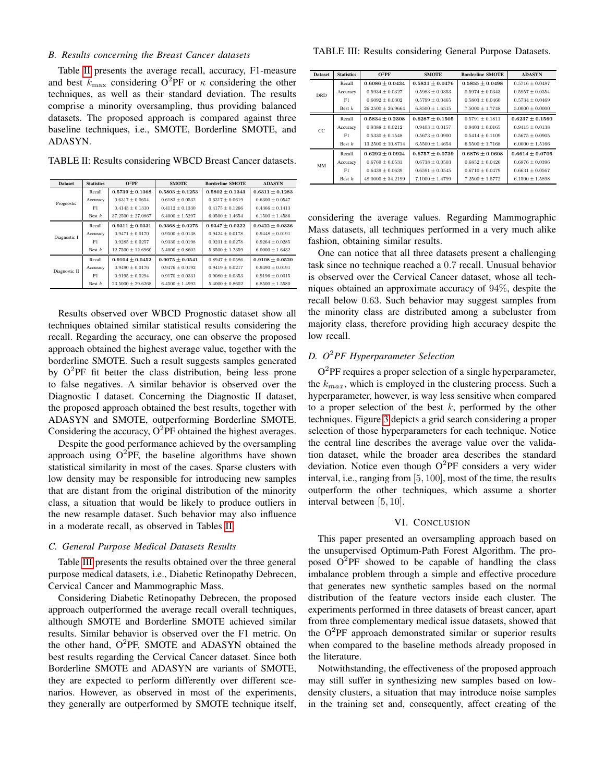## *B. Results concerning the Breast Cancer datasets*

Table [II](#page-4-1) presents the average recall, accuracy, F1-measure and best  $k_{\text{max}}$  considering O<sup>2</sup>PF or  $\kappa$  considering the other techniques, as well as their standard deviation. The results comprise a minority oversampling, thus providing balanced datasets. The proposed approach is compared against three baseline techniques, i.e., SMOTE, Borderline SMOTE, and ADASYN.

<span id="page-4-1"></span>TABLE II: Results considering WBCD Breast Cancer datasets.

| <b>Dataset</b> | <b>Statistics</b> | $O^2PF$               | <b>SMOTE</b>        | <b>Borderline SMOTE</b> | <b>ADASYN</b>       |
|----------------|-------------------|-----------------------|---------------------|-------------------------|---------------------|
|                | Recall            | $0.5739 \pm 0.1368$   | $0.5803 + 0.1253$   | $0.5802 \pm 0.1343$     | $0.6311 + 0.1283$   |
| Prognostic     | Accuracy          | $0.6317 \pm 0.0654$   | $0.6183 + 0.0532$   | $0.6317 + 0.0619$       | $0.6300 \pm 0.0547$ |
|                | F1                | $0.4143 \pm 0.1310$   | $0.4112 \pm 0.1330$ | $0.4175 \pm 0.1266$     | $0.4366 \pm 0.1413$ |
|                | Best $k$          | $37.2500 \pm 27.0867$ | $6.4000 \pm 1.5297$ | $6.0500 \pm 1.4654$     | $6.1500 \pm 1.4586$ |
|                | Recall            | $0.9311 + 0.0331$     | $0.9368 + 0.0275$   | $0.9347 + 0.0322$       | $0.9422 + 0.0336$   |
| Diagnostic I   | Accuracy          | $0.9471 \pm 0.0170$   | $0.9500 \pm 0.0138$ | $0.9424 \pm 0.0178$     | $0.9448 \pm 0.0191$ |
|                | F1                | $0.9285 + 0.0257$     | $0.9330 \pm 0.0198$ | $0.9231 \pm 0.0278$     | $0.9264 \pm 0.0285$ |
|                | Best $k$          | $12.7500 \pm 12.6960$ | $5.4000 \pm 0.8602$ | $5.6500 \pm 1.2359$     | $6.0000 \pm 1.6432$ |
|                | Recall            | $0.9104 \pm 0.0452$   | $0.9075 \pm 0.0541$ | $0.8947 + 0.0586$       | $0.9108 + 0.0520$   |
| Diagnostic II  | Accuracy          | $0.9490 \pm 0.0176$   | $0.9476 \pm 0.0192$ | $0.9419 \pm 0.0217$     | $0.9490 \pm 0.0191$ |
|                | F1                | $0.9195 \pm 0.0294$   | $0.9170 \pm 0.0331$ | $0.9080 \pm 0.0353$     | $0.9196 \pm 0.0315$ |
|                | Best $k$          | $23.5000 \pm 29.6268$ | $6.4500 \pm 1.4992$ | $5.4000 \pm 0.8602$     | $6.8500 \pm 1.5580$ |

Results observed over WBCD Prognostic dataset show all techniques obtained similar statistical results considering the recall. Regarding the accuracy, one can observe the proposed approach obtained the highest average value, together with the borderline SMOTE. Such a result suggests samples generated by  $O^2$ PF fit better the class distribution, being less prone to false negatives. A similar behavior is observed over the Diagnostic I dataset. Concerning the Diagnostic II dataset, the proposed approach obtained the best results, together with ADASYN and SMOTE, outperforming Borderline SMOTE. Considering the accuracy,  $O^2$ PF obtained the highest averages.

Despite the good performance achieved by the oversampling approach using  $O^2$ PF, the baseline algorithms have shown statistical similarity in most of the cases. Sparse clusters with low density may be responsible for introducing new samples that are distant from the original distribution of the minority class, a situation that would be likely to produce outliers in the new resample dataset. Such behavior may also influence in a moderate recall, as observed in Tables [II.](#page-4-1)

#### *C. General Purpose Medical Datasets Results*

Table [III](#page-4-2) presents the results obtained over the three general purpose medical datasets, i.e., Diabetic Retinopathy Debrecen, Cervical Cancer and Mammographic Mass.

Considering Diabetic Retinopathy Debrecen, the proposed approach outperformed the average recall overall techniques, although SMOTE and Borderline SMOTE achieved similar results. Similar behavior is observed over the F1 metric. On the other hand,  $O^2$ PF, SMOTE and ADASYN obtained the best results regarding the Cervical Cancer dataset. Since both Borderline SMOTE and ADASYN are variants of SMOTE, they are expected to perform differently over different scenarios. However, as observed in most of the experiments, they generally are outperformed by SMOTE technique itself,

<span id="page-4-2"></span>TABLE III: Results considering General Purpose Datasets.

| <b>Dataset</b> | <b>Statistics</b> | $O^2PF$               | <b>SMOTE</b>        | <b>Borderline SMOTE</b> | <b>ADASYN</b>       |
|----------------|-------------------|-----------------------|---------------------|-------------------------|---------------------|
| <b>DRD</b>     | Recall            | $0.6086 \pm 0.0434$   | $0.5831 \pm 0.0476$ | $0.5855 \pm 0.0498$     | $0.5716 \pm 0.0487$ |
|                | Accuracy          | $0.5934 + 0.0327$     | $0.5983 + 0.0353$   | $0.5974 + 0.0343$       | $0.5957 + 0.0354$   |
|                | F1                | $0.6092 \pm 0.0302$   | $0.5799 \pm 0.0465$ | $0.5803 \pm 0.0460$     | $0.5734 \pm 0.0469$ |
|                | Best $k$          | $26.2500 \pm 26.9664$ | $6.8500 \pm 1.6515$ | $7.5000 \pm 1.7748$     | $5.0000 \pm 0.0000$ |
| CC             | Recall            | $0.5834 \pm 0.2308$   | $0.6287 \pm 0.1505$ | $0.5791 \pm 0.1811$     | $0.6237 + 0.1560$   |
|                | Accuracy          | $0.9388 \pm 0.0212$   | $0.9403 \pm 0.0157$ | $0.9403 \pm 0.0165$     | $0.9415 \pm 0.0138$ |
|                | F1                | $0.5330 + 0.1548$     | $0.5673 + 0.0900$   | $0.5414 + 0.1109$       | $0.5675 \pm 0.0905$ |
|                | Best $k$          | $13.2500 \pm 10.8714$ | $6.5500 + 1.4654$   | $6.5500 \pm 1.7168$     | $6.0000 \pm 1.5166$ |
| MM             | Recall            | $0.6292 \pm 0.0924$   | $0.6757 \pm 0.0739$ | $0.6876 \pm 0.0608$     | $0.6614 \pm 0.0706$ |
|                | Accuracy          | $0.6769 \pm 0.0531$   | $0.6738 \pm 0.0503$ | $0.6852 \pm 0.0426$     | $0.6876 \pm 0.0396$ |
|                | F1                | $0.6439 \pm 0.0639$   | $0.6591 \pm 0.0545$ | $0.6710 \pm 0.0479$     | $0.6631 \pm 0.0567$ |
|                | Best $k$          | $48,0000 \pm 34,2199$ | $7.1000 \pm 1.4799$ | $7.2500 \pm 1.5772$     | $6.1500 \pm 1.5898$ |

considering the average values. Regarding Mammographic Mass datasets, all techniques performed in a very much alike fashion, obtaining similar results.

One can notice that all three datasets present a challenging task since no technique reached a 0.7 recall. Unusual behavior is observed over the Cervical Cancer dataset, whose all techniques obtained an approximate accuracy of 94%, despite the recall below 0.63. Such behavior may suggest samples from the minority class are distributed among a subcluster from majority class, therefore providing high accuracy despite the low recall.

## *D. O*2*PF Hyperparameter Selection*

 $O^2$ PF requires a proper selection of a single hyperparameter, the  $k_{max}$ , which is employed in the clustering process. Such a hyperparameter, however, is way less sensitive when compared to a proper selection of the best  $k$ , performed by the other techniques. Figure [3](#page-5-29) depicts a grid search considering a proper selection of those hyperparameters for each technique. Notice the central line describes the average value over the validation dataset, while the broader area describes the standard deviation. Notice even though  $O^2$ PF considers a very wider interval, i.e., ranging from [5, 100], most of the time, the results outperform the other techniques, which assume a shorter interval between [5, 10].

## VI. CONCLUSION

<span id="page-4-0"></span>This paper presented an oversampling approach based on the unsupervised Optimum-Path Forest Algorithm. The proposed  $O^2$ PF showed to be capable of handling the class imbalance problem through a simple and effective procedure that generates new synthetic samples based on the normal distribution of the feature vectors inside each cluster. The experiments performed in three datasets of breast cancer, apart from three complementary medical issue datasets, showed that the  $O^2$ PF approach demonstrated similar or superior results when compared to the baseline methods already proposed in the literature.

Notwithstanding, the effectiveness of the proposed approach may still suffer in synthesizing new samples based on lowdensity clusters, a situation that may introduce noise samples in the training set and, consequently, affect creating of the